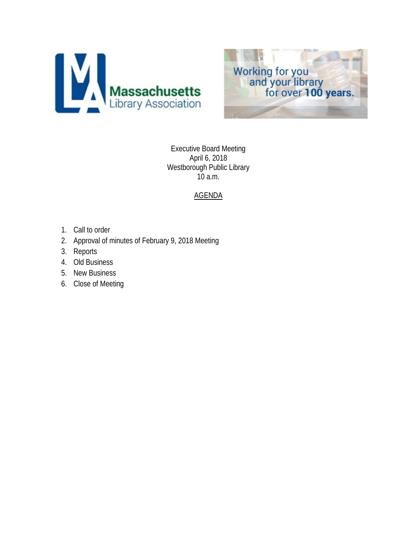



Executive Board Meeting April 6, 2018 Westborough Public Library 10 a.m.

## AGENDA

- 1. Call to order
- 2. Approval of minutes of February 9, 2018 Meeting
- 3. Reports
- 4. Old Business
- 5. New Business
- 6. Close of Meeting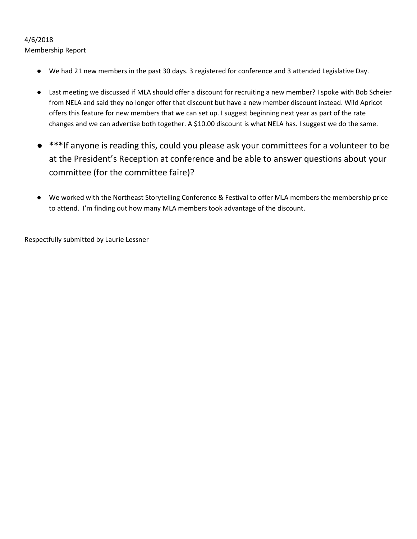## 4/6/2018

Membership Report

- We had 21 new members in the past 30 days. 3 registered for conference and 3 attended Legislative Day.
- Last meeting we discussed if MLA should offer a discount for recruiting a new member? I spoke with Bob Scheier from NELA and said they no longer offer that discount but have a new member discount instead. Wild Apricot offers this feature for new members that we can set up. I suggest beginning next year as part of the rate changes and we can advertise both together. A \$10.00 discount is what NELA has. I suggest we do the same.
- **\*\*\***If anyone is reading this, could you please ask your committees for a volunteer to be at the President's Reception at conference and be able to answer questions about your committee (for the committee faire)?
- We worked with the Northeast Storytelling Conference & Festival to offer MLA members the membership price to attend. I'm finding out how many MLA members took advantage of the discount.

Respectfully submitted by Laurie Lessner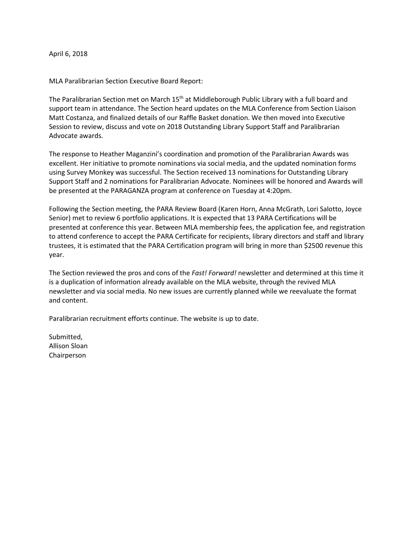April 6, 2018

MLA Paralibrarian Section Executive Board Report:

The Paralibrarian Section met on March 15<sup>th</sup> at Middleborough Public Library with a full board and support team in attendance. The Section heard updates on the MLA Conference from Section Liaison Matt Costanza, and finalized details of our Raffle Basket donation. We then moved into Executive Session to review, discuss and vote on 2018 Outstanding Library Support Staff and Paralibrarian Advocate awards.

The response to Heather Maganzini's coordination and promotion of the Paralibrarian Awards was excellent. Her initiative to promote nominations via social media, and the updated nomination forms using Survey Monkey was successful. The Section received 13 nominations for Outstanding Library Support Staff and 2 nominations for Paralibrarian Advocate. Nominees will be honored and Awards will be presented at the PARAGANZA program at conference on Tuesday at 4:20pm.

Following the Section meeting, the PARA Review Board (Karen Horn, Anna McGrath, Lori Salotto, Joyce Senior) met to review 6 portfolio applications. It is expected that 13 PARA Certifications will be presented at conference this year. Between MLA membership fees, the application fee, and registration to attend conference to accept the PARA Certificate for recipients, library directors and staff and library trustees, it is estimated that the PARA Certification program will bring in more than \$2500 revenue this year.

The Section reviewed the pros and cons of the *Fast! Forward!* newsletter and determined at this time it is a duplication of information already available on the MLA website, through the revived MLA newsletter and via social media. No new issues are currently planned while we reevaluate the format and content.

Paralibrarian recruitment efforts continue. The website is up to date.

Submitted, Allison Sloan Chairperson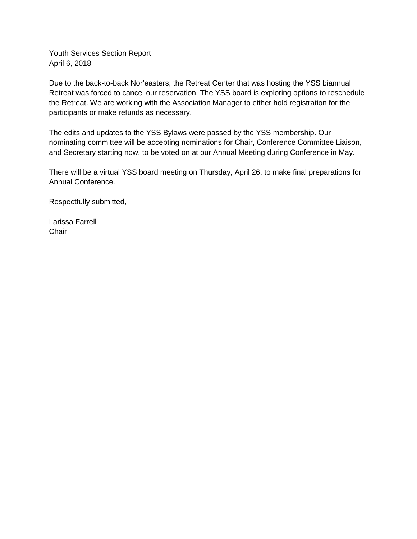Youth Services Section Report April 6, 2018

Due to the back-to-back Nor'easters, the Retreat Center that was hosting the YSS biannual Retreat was forced to cancel our reservation. The YSS board is exploring options to reschedule the Retreat. We are working with the Association Manager to either hold registration for the participants or make refunds as necessary.

The edits and updates to the YSS Bylaws were passed by the YSS membership. Our nominating committee will be accepting nominations for Chair, Conference Committee Liaison, and Secretary starting now, to be voted on at our Annual Meeting during Conference in May.

There will be a virtual YSS board meeting on Thursday, April 26, to make final preparations for Annual Conference.

Respectfully submitted,

Larissa Farrell **Chair**